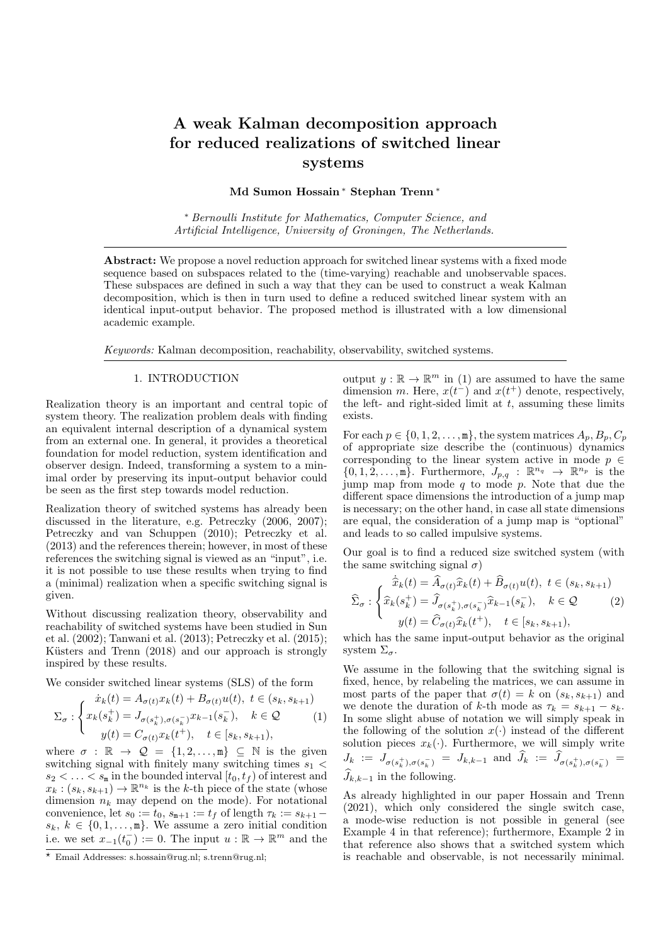# A weak Kalman decomposition approach for reduced realizations of switched linear systems

Md Sumon Hossain <sup>∗</sup> Stephan Trenn <sup>∗</sup>

<sup>∗</sup> Bernoulli Institute for Mathematics, Computer Science, and Artificial Intelligence, University of Groningen, The Netherlands.

Abstract: We propose a novel reduction approach for switched linear systems with a fixed mode sequence based on subspaces related to the (time-varying) reachable and unobservable spaces. These subspaces are defined in such a way that they can be used to construct a weak Kalman decomposition, which is then in turn used to define a reduced switched linear system with an identical input-output behavior. The proposed method is illustrated with a low dimensional academic example.

Keywords: Kalman decomposition, reachability, observability, switched systems.

## 1. INTRODUCTION

Realization theory is an important and central topic of system theory. The realization problem deals with finding an equivalent internal description of a dynamical system from an external one. In general, it provides a theoretical foundation for model reduction, system identification and observer design. Indeed, transforming a system to a minimal order by preserving its input-output behavior could be seen as the first step towards model reduction.

Realization theory of switched systems has already been discussed in the literature, e.g. Petreczky (2006, 2007); Petreczky and van Schuppen (2010); Petreczky et al. (2013) and the references therein; however, in most of these references the switching signal is viewed as an "input", i.e. it is not possible to use these results when trying to find a (minimal) realization when a specific switching signal is given.

Without discussing realization theory, observability and reachability of switched systems have been studied in Sun et al. (2002); Tanwani et al. (2013); Petreczky et al. (2015); Küsters and Trenn (2018) and our approach is strongly inspired by these results.

We consider switched linear systems (SLS) of the form

$$
\Sigma_{\sigma} : \begin{cases} \n\dot{x}_k(t) = A_{\sigma(t)} x_k(t) + B_{\sigma(t)} u(t), \ t \in (s_k, s_{k+1}) \\
x_k(s_k^+) = J_{\sigma(s_k^+), \sigma(s_k^-)} x_{k-1}(s_k^-), \quad k \in \mathcal{Q} \\
y(t) = C_{\sigma(t)} x_k(t^+), \quad t \in [s_k, s_{k+1}),\n\end{cases}
$$
\n(1)

where  $\sigma : \mathbb{R} \to \mathcal{Q} = \{1, 2, \ldots, m\} \subseteq \mathbb{N}$  is the given switching signal with finitely many switching times  $s_1$  <  $s_2 < \ldots < s_m$  in the bounded interval  $[t_0, t_f)$  of interest and  $x_k : (s_k, s_{k+1}) \to \mathbb{R}^{n_k}$  is the k-th piece of the state (whose dimension  $n_k$  may depend on the mode). For notational convenience, let  $s_0 := t_0$ ,  $s_{m+1} := t_f$  of length  $\tau_k := s_{k+1}$  $s_k, k \in \{0, 1, \ldots, m\}$ . We assume a zero initial condition i.e. we set  $x_{-1}(t_0^-) := 0$ . The input  $u : \mathbb{R} \to \mathbb{R}^m$  and the

output  $y : \mathbb{R} \to \mathbb{R}^m$  in (1) are assumed to have the same dimension m. Here,  $x(t^{-})$  and  $x(t^{+})$  denote, respectively, the left- and right-sided limit at  $t$ , assuming these limits exists.

For each  $p \in \{0, 1, 2, \ldots, m\}$ , the system matrices  $A_p, B_p, C_p$ of appropriate size describe the (continuous) dynamics corresponding to the linear system active in mode  $p \in$  $\{0, 1, 2, \ldots, m\}$ . Furthermore,  $J_{p,q}$ :  $\mathbb{R}^{n_q} \to \mathbb{R}^{n_p}$  is the jump map from mode  $q$  to mode  $p$ . Note that due the different space dimensions the introduction of a jump map is necessary; on the other hand, in case all state dimensions are equal, the consideration of a jump map is "optional" and leads to so called impulsive systems.

Our goal is to find a reduced size switched system (with the same switching signal  $\sigma$ )

$$
\hat{\overline{x}}_k(t) = \hat{A}_{\sigma(t)} \hat{x}_k(t) + \hat{B}_{\sigma(t)} u(t), \ t \in (s_k, s_{k+1})
$$

$$
\widehat{\Sigma}_{\sigma} : \begin{cases} \hat{x}_k(s_k^+) = \hat{J}_{\sigma(s_k^+), \sigma(s_k^-)} \hat{x}_{k-1}(s_k^-), & k \in \mathcal{Q} \\ y(t) = \hat{C}_{\sigma(t)} \hat{x}_k(t^+), & t \in [s_k, s_{k+1}), \end{cases}
$$
which has the same input-output behavior as the original

system  $\Sigma_{\sigma}$ .

We assume in the following that the switching signal is fixed, hence, by relabeling the matrices, we can assume in most parts of the paper that  $\sigma(t) = k$  on  $(s_k, s_{k+1})$  and we denote the duration of k-th mode as  $\tau_k = s_{k+1} - s_k$ . In some slight abuse of notation we will simply speak in the following of the solution  $x(\cdot)$  instead of the different solution pieces  $x_k(\cdot)$ . Furthermore, we will simply write  $J_k := J_{\sigma(s_k^+), \sigma(s_k^-)} = J_{k,k-1}$  and  $J_k := J_{\sigma(s_k^+), \sigma(s_k^-)} =$  $\widehat{J}_{k,k-1}$  in the following.

As already highlighted in our paper Hossain and Trenn (2021), which only considered the single switch case, a mode-wise reduction is not possible in general (see Example 4 in that reference); furthermore, Example 2 in that reference also shows that a switched system which is reachable and observable, is not necessarily minimal.

 $\overline{\star}$  Email Addresses: s.hossain@rug.nl; s.trenn@rug.nl;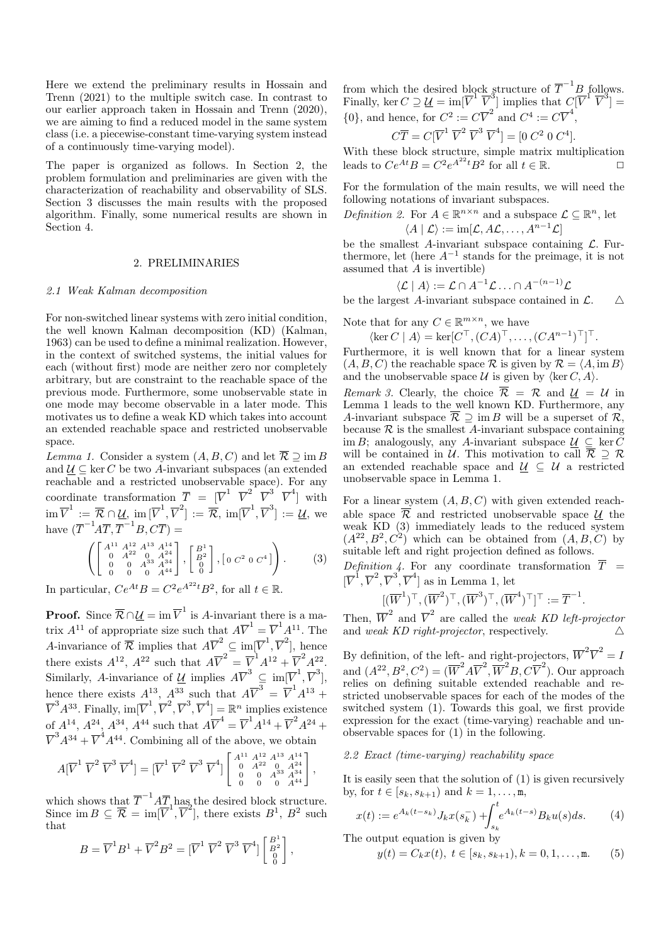Here we extend the preliminary results in Hossain and Trenn (2021) to the multiple switch case. In contrast to our earlier approach taken in Hossain and Trenn (2020), we are aiming to find a reduced model in the same system class (i.e. a piecewise-constant time-varying system instead of a continuously time-varying model).

The paper is organized as follows. In Section 2, the problem formulation and preliminaries are given with the characterization of reachability and observability of SLS. Section 3 discusses the main results with the proposed algorithm. Finally, some numerical results are shown in Section 4.

#### 2. PRELIMINARIES

#### 2.1 Weak Kalman decomposition

For non-switched linear systems with zero initial condition, the well known Kalman decomposition (KD) (Kalman, 1963) can be used to define a minimal realization. However, in the context of switched systems, the initial values for each (without first) mode are neither zero nor completely arbitrary, but are constraint to the reachable space of the previous mode. Furthermore, some unobservable state in one mode may become observable in a later mode. This motivates us to define a weak KD which takes into account an extended reachable space and restricted unobservable space.

Lemma 1. Consider a system  $(A, B, C)$  and let  $\overline{\mathcal{R}} \supseteq \text{im } B$ and  $U \subseteq \text{ker } C$  be two A-invariant subspaces (an extended reachable and a restricted unobservable space). For any coordinate transformation  $\overline{T} = [\overline{V}^1 \ \ \overline{V}^2 \ \ \overline{V}^3 \ \ \overline{V}^4]$  with  $\mathrm{im} \, \overline{V}^1 \, := \, \overline{\mathcal{R}} \cap \underline{\mathcal{U}}, \, \mathrm{im} \, [\overline{V}^1, \overline{V}^2] \, := \, \overline{\mathcal{R}}, \, \mathrm{im} [\overline{V}^1, \overline{V}^3] \, := \, \underline{\mathcal{U}}, \, \mathrm{we}$ have  $(\overline{T}^{-1}A\overline{T}, \overline{T}^{-1}B, C\overline{T}) =$ 

$$
\left( \begin{bmatrix} A^{11} & A^{12} & A^{13} & A^{14} \\ 0 & A^{22} & 0 & A^{24} \\ 0 & 0 & A^{33} & A^{34} \\ 0 & 0 & 0 & A^{44} \end{bmatrix}, \begin{bmatrix} B^1 \\ B^2 \\ 0 \\ 0 \end{bmatrix}, \begin{bmatrix} 0 & C^2 & 0 & C^4 \end{bmatrix} \right). \tag{3}
$$

In particular,  $Ce^{At}B = C^2e^{A^{22}t}B^2$ , for all  $t \in \mathbb{R}$ .

**Proof.** Since  $\overline{\mathcal{R}} \cap \underline{\mathcal{U}} = \text{im } \overline{V}^1$  is A-invariant there is a matrix  $A^{11}$  of appropriate size such that  $A\overline{V}^1 = \overline{V}^1 A^{11}$ . The A-invariance of  $\overline{\mathcal{R}}$  implies that  $A\overline{V}^2 \subseteq \text{im}[\overline{V}^1, \overline{V}^2]$ , hence there exists  $A^{12}$ ,  $A^{22}$  such that  $A\overline{V}^2 = \overline{V}^1A^{12} + \overline{V}^2A^{22}$ . Similarly, A-invariance of  $\underline{\mathcal{U}}$  implies  $A\overline{V}^3 \subseteq \text{im}[\overline{V}^1, \overline{V}^3]$ , hence there exists  $A^{13}$ ,  $A^{33}$  such that  $A\overline{V}^3 = \overline{V}^1 A^{13} +$  $\overline{V}^3A^{33}$ . Finally,  $\text{im}[\overline{V}^1, \overline{V}^2, \overline{V}^3, \overline{V}^4] = \mathbb{R}^n$  implies existence of  $A^{14}$ ,  $A^{24}$ ,  $A^{34}$ ,  $A^{44}$  such that  $A\overline{V}^4 = \overline{V}^1 A^{14} + \overline{V}^2 A^{24} +$  $\overline{V}^3A^{34} + \overline{V}^4A^{44}$ . Combining all of the above, we obtain

$$
A[\overline{V}^1 \ \overline{V}^2 \ \overline{V}^3 \ \overline{V}^4] = [\overline{V}^1 \ \overline{V}^2 \ \overline{V}^3 \ \overline{V}^4] \begin{bmatrix} A^{11} A^{12} A^{13} A^{14} \\ 0 & A^{22} & 0 & A^{24} \\ 0 & 0 & A^{33} & A^{34} \\ 0 & 0 & 0 & A^{44} \end{bmatrix},
$$

which shows that  $\overline{T}^{-1}A\overline{T}$ , has the desired block structure. Since im  $B \subseteq \overline{\mathcal{R}} = \text{im}[\overline{V}^1, \overline{V}^2]$ , there exists  $B^1$ ,  $B^2$  such that

$$
B = \overline{V}^1 B^1 + \overline{V}^2 B^2 = [\overline{V}^1 \ \overline{V}^2 \ \overline{V}^3 \ \overline{V}^4] \begin{bmatrix} B^1 \\ B^2 \\ 0 \\ 0 \end{bmatrix},
$$

from which the desired block structure of  $\overline{T}^{-1}B$  follows. Finally, ker  $C \supseteq \underline{U} = \text{im}[\overline{V}^1 \ \overline{V}^3]$  implies that  $C[\overline{V}^1 \ \overline{V}^3] =$  $\{0\}$ , and hence, for  $C^2 := C\overline{V}^2$  and  $C^4 := C\overline{V}^4$ ,

$$
C\overline{T} = C[\overline{V}^1 \ \overline{V}^2 \ \overline{V}^3 \ \overline{V}^4] = [0 \ C^2 \ 0 \ C^4].
$$

With these block structure, simple matrix multiplication leads to  $Ce^{At}B = C^2e^{A^{22}t}B^2$  for all  $t \in \mathbb{R}$ .

For the formulation of the main results, we will need the following notations of invariant subspaces.

*Definition 2.* For 
$$
A \in \mathbb{R}^{n \times n}
$$
 and a subspace  $\mathcal{L} \subseteq \mathbb{R}^n$ , let  $\langle A | \mathcal{L} \rangle := \text{im}[\mathcal{L}, A\mathcal{L}, \dots, A^{n-1}\mathcal{L}]$ 

be the smallest A-invariant subspace containing  $\mathcal{L}$ . Furthermore, let (here  $A^{-1}$  stands for the preimage, it is not assumed that  $\ddot{A}$  is invertible)

$$
\langle \mathcal{L} | A \rangle := \mathcal{L} \cap A^{-1} \mathcal{L} \dots \cap A^{-(n-1)} \mathcal{L}
$$

be the largest A-invariant subspace contained in  $\mathcal{L}$ .  $\Delta$ 

Note that for any  $C \in \mathbb{R}^{m \times n}$ , we have

$$
\langle \ker C \mid A \rangle = \ker [C^\top, (CA)^\top, \dots, (CA^{n-1})^\top]^\top.
$$

Furthermore, it is well known that for a linear system  $(A, B, C)$  the reachable space R is given by  $\mathcal{R} = \langle A, \text{im } B \rangle$ and the unobservable space  $U$  is given by  $\langle \ker C, A \rangle$ .

*Remark 3.* Clearly, the choice  $\overline{\mathcal{R}} = \mathcal{R}$  and  $\mathcal{U} = \mathcal{U}$  in Lemma 1 leads to the well known KD. Furthermore, any A-invariant subspace  $\overline{\mathcal{R}} \supseteq \text{im } B$  will be a superset of  $\mathcal{R}$ , because  $\mathcal R$  is the smallest A-invariant subspace containing im B; analogously, any A-invariant subspace  $\underline{U} \subseteq \ker C$ will be contained in  $\mathcal{U}$ . This motivation to call  $\overline{\mathcal{R}} \supseteq \mathcal{R}$ an extended reachable space and  $\underline{U} \subseteq U$  a restricted unobservable space in Lemma 1.

For a linear system  $(A, B, C)$  with given extended reachable space  $\overline{\mathcal{R}}$  and restricted unobservable space U the weak KD (3) immediately leads to the reduced system  $(A^{22}, B^2, C^2)$  which can be obtained from  $(A, B, C)$  by suitable left and right projection defined as follows.

Definition 4. For any coordinate transformation  $\overline{T}$  =  $[\overline{V}^1, \overline{V}^2, \overline{V}^3, \overline{V}^4]$  as in Lemma 1, let

$$
[(\overline{W}^1)^\top, (\overline{W}^2)^\top, (\overline{W}^3)^\top, (\overline{W}^4)^\top]^\top := \overline{T}^{-1}.
$$

Then,  $\overline{W}^2$  and  $\overline{V}^2$  are called the *weak KD left-projector* and weak KD right-projector, respectively.  $\triangle$ 

By definition, of the left- and right-projectors,  $\overline{W}^2 \overline{V}^2 = I$ and  $(A^{22}, B^2, C^2) = (\overline{W}^2 A \overline{V}^2, \overline{W}^2 B, C \overline{V}^2)$ . Our approach relies on defining suitable extended reachable and restricted unobservable spaces for each of the modes of the switched system (1). Towards this goal, we first provide expression for the exact (time-varying) reachable and unobservable spaces for (1) in the following.

### 2.2 Exact (time-varying) reachability space

It is easily seen that the solution of (1) is given recursively by, for  $t \in [s_k, s_{k+1})$  and  $k = 1, \ldots, m$ ,

$$
x(t) := e^{A_k(t - s_k)} J_k x(s_k^-) + \int_{s_k}^t e^{A_k(t - s)} B_k u(s) ds.
$$
 (4)

The output equation is given by

$$
y(t) = C_k x(t), \ t \in [s_k, s_{k+1}), k = 0, 1, \dots, \text{m}.
$$
 (5)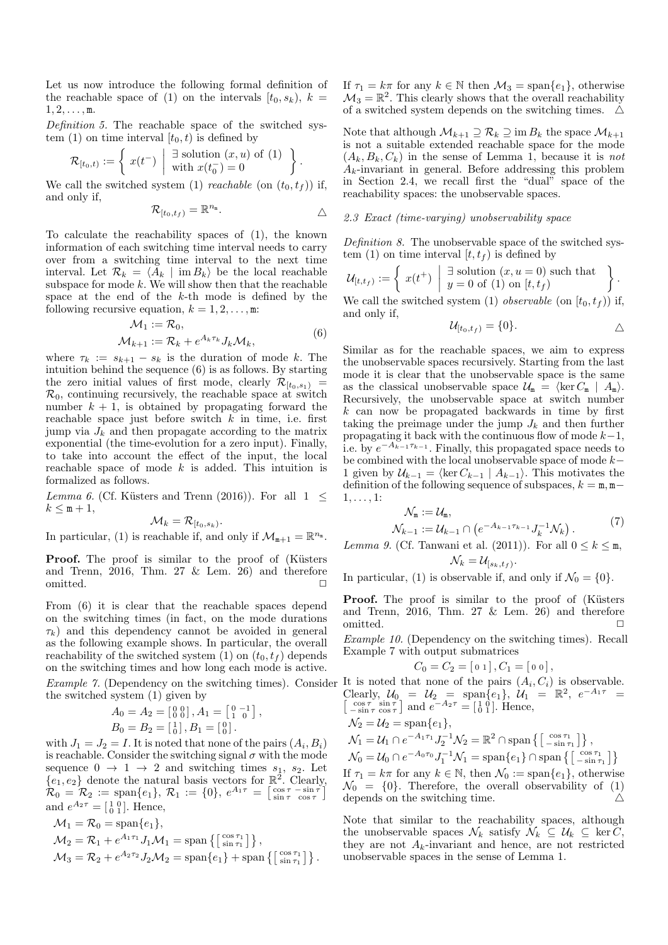Let us now introduce the following formal definition of the reachable space of (1) on the intervals  $[t_0, s_k)$ ,  $k =$  $1, 2, \ldots, m$ .

Definition 5. The reachable space of the switched system (1) on time interval  $[t_0, t)$  is defined by

$$
\mathcal{R}_{[t_0,t)} := \left\{ x(t^-) \mid \frac{\exists \text{ solution } (x,u) \text{ of (1)}}{\text{with } x(t_0^-) = 0} \right\}.
$$

We call the switched system (1) *reachable* (on  $(t_0, t_f)$ ) if, and only if,

$$
\mathcal{R}_{[t_0,t_f)} = \mathbb{R}^{n_{\mathbb{m}}}.
$$

To calculate the reachability spaces of (1), the known information of each switching time interval needs to carry over from a switching time interval to the next time interval. Let  $\mathcal{R}_k = \langle A_k | \text{im } B_k \rangle$  be the local reachable subspace for mode  $k$ . We will show then that the reachable space at the end of the k-th mode is defined by the following recursive equation,  $k = 1, 2, \ldots, m$ :

$$
\mathcal{M}_1 := \mathcal{R}_0,
$$
  

$$
\mathcal{M}_{k+1} := \mathcal{R}_k + e^{A_k \tau_k} J_k \mathcal{M}_k,
$$
 (6)

where  $\tau_k := s_{k+1} - s_k$  is the duration of mode k. The intuition behind the sequence (6) is as follows. By starting the zero initial values of first mode, clearly  $\mathcal{R}_{[t_0,s_1]}$  =  $\mathcal{R}_0$ , continuing recursively, the reachable space at switch number  $k + 1$ , is obtained by propagating forward the reachable space just before switch  $k$  in time, i.e. first jump via  $J_k$  and then propagate according to the matrix exponential (the time-evolution for a zero input). Finally, to take into account the effect of the input, the local reachable space of mode  $k$  is added. This intuition is formalized as follows.

Lemma 6. (Cf. Küsters and Trenn (2016)). For all  $1 \leq$  $k \leq m+1$ ,

$$
\mathcal{M}_k = \mathcal{R}_{[t_0,s_k)}.
$$

In particular, (1) is reachable if, and only if  $\mathcal{M}_{m+1} = \mathbb{R}^{n_m}$ .

**Proof.** The proof is similar to the proof of (Küsters and Trenn,  $2016$ , Thm.  $27 \&$  Lem.  $26$ ) and therefore omitted.  $\hfill \square$ 

From (6) it is clear that the reachable spaces depend on the switching times (in fact, on the mode durations  $\tau_k$ ) and this dependency cannot be avoided in general as the following example shows. In particular, the overall reachability of the switched system (1) on  $(t_0, t_f)$  depends on the switching times and how long each mode is active.

the switched system (1) given by

$$
A_0 = A_2 = \begin{bmatrix} 0 & 0 \\ 0 & 0 \end{bmatrix}, A_1 = \begin{bmatrix} 0 & -1 \\ 1 & 0 \end{bmatrix}, B_0 = B_2 = \begin{bmatrix} 1 \\ 0 \end{bmatrix}, B_1 = \begin{bmatrix} 0 \\ 0 \end{bmatrix}.
$$

with  $J_1 = J_2 = I$ . It is noted that none of the pairs  $(A_i, B_i)$ is reachable. Consider the switching signal  $\sigma$  with the mode sequence  $0 \rightarrow 1 \rightarrow 2$  and switching times  $s_1, s_2$ . Let  ${e_1, e_2}$  denote the natural basis vectors for  $\mathbb{R}^2$ . Clearly,  $\mathcal{R}_0 = \mathcal{R}_2 := \text{span}\{e_1\}, \, \mathcal{R}_1 := \{0\}, \, e^{A_1\tau} = \left[\begin{smallmatrix} \cos\tau & -\sin\tau \ \sin\tau & \cos\tau \end{smallmatrix}\right]$ and  $e^{A_2 \tau} = \begin{bmatrix} 1 & 0 \\ 0 & 1 \end{bmatrix}$ . Hence,

$$
\mathcal{M}_1 = \mathcal{R}_0 = \text{span}\{e_1\},
$$
  
\n
$$
\mathcal{M}_2 = \mathcal{R}_1 + e^{A_1 \tau_1} J_1 \mathcal{M}_1 = \text{span}\{ \left[ \begin{matrix} \cos \tau_1 \\ \sin \tau_1 \end{matrix} \right] \},
$$
  
\n
$$
\mathcal{M}_3 = \mathcal{R}_2 + e^{A_2 \tau_2} J_2 \mathcal{M}_2 = \text{span}\{e_1\} + \text{span}\{ \left[ \begin{matrix} \cos \tau_1 \\ \sin \tau_1 \end{matrix} \right] \}.
$$

If  $\tau_1 = k\pi$  for any  $k \in \mathbb{N}$  then  $\mathcal{M}_3 = \text{span}\{e_1\}$ , otherwise  $\mathcal{M}_3 = \mathbb{R}^2$ . This clearly shows that the overall reachability of a switched system depends on the switching times.  $\Delta$ 

Note that although  $\mathcal{M}_{k+1} \supseteq \mathcal{R}_k \supseteq \text{im } B_k$  the space  $\mathcal{M}_{k+1}$ is not a suitable extended reachable space for the mode  $(A_k, B_k, C_k)$  in the sense of Lemma 1, because it is not  $A_k$ -invariant in general. Before addressing this problem in Section 2.4, we recall first the "dual" space of the reachability spaces: the unobservable spaces.

# 2.3 Exact (time-varying) unobservability space

Definition 8. The unobservable space of the switched system (1) on time interval  $[t, t_f)$  is defined by

$$
\mathcal{U}_{[t,t_f)} := \left\{ x(t^+) \mid \frac{\exists \text{ solution } (x, u = 0) \text{ such that}}{y = 0 \text{ of } (1) \text{ on } [t, t_f)} \right\}.
$$

We call the switched system (1) *observable* (on  $[t_0, t_f)$ ) if, and only if,

$$
\mathcal{U}_{[t_0,t_f)} = \{0\}.
$$

Similar as for the reachable spaces, we aim to express the unobservable spaces recursively. Starting from the last mode it is clear that the unobservable space is the same as the classical unobservable space  $\mathcal{U}_{m} = \langle \ker C_{m} | A_{m} \rangle$ . Recursively, the unobservable space at switch number k can now be propagated backwards in time by first taking the preimage under the jump  $J_k$  and then further propagating it back with the continuous flow of mode  $k-1$ , i.e. by  $e^{-A_{k-1}\tau_{k-1}}$ . Finally, this propagated space needs to be combined with the local unobservable space of mode  $k-$ 1 given by  $\mathcal{U}_{k-1} = \langle \ker C_{k-1} | A_{k-1} \rangle$ . This motivates the definition of the following sequence of subspaces,  $k = m, m 1, \ldots, 1$ :

$$
\mathcal{N}_{m} := \mathcal{U}_{m}, \n\mathcal{N}_{k-1} := \mathcal{U}_{k-1} \cap \left( e^{-A_{k-1}\tau_{k-1}} J_{k}^{-1} \mathcal{N}_{k} \right).
$$
\n(7)

Lemma 9. (Cf. Tanwani et al. (2011)). For all  $0 \leq k \leq m$ ,  $\mathcal{N}_k = \mathcal{U}_{[s_k, t_f)}.$ 

In particular, (1) is observable if, and only if  $\mathcal{N}_0 = \{0\}.$ 

Proof. The proof is similar to the proof of (Küsters and Trenn, 2016, Thm. 27  $&$  Lem. 26) and therefore omitted. ✷

Example 10. (Dependency on the switching times). Recall Example 7 with output submatrices

$$
C_0 = C_2 = [0 1], C_1 = [0 0],
$$

*Example 7.* (Dependency on the switching times). Consider It is noted that none of the pairs  $(A_i, C_i)$  is observable. Clearly,  $U_0 = U_2 = \text{span}\{e_1\}, \ U_1 = \mathbb{R}^2, e_2$ Clearly,  $\mathcal{U}_0 = \mathcal{U}_2 = \text{span}\{e_1\}, \ \mathcal{U}_1 = \mathbb{R}^2, e^{-A_1\tau} = [\begin{matrix} \cos \tau & \sin \tau \\ -\sin \tau & \cos \tau \end{matrix}]$  and  $e^{-A_2\tau} = [\begin{matrix} 1 & 0 \\ 0 & 1 \end{matrix}]$ . Hence,  $\mathcal{N}_2 = \mathcal{U}_2 = \text{span}\{e_1\},\$ 

$$
\mathcal{N}_1 = \mathcal{U}_1 \cap e^{-A_1 \tau_1} J_2^{-1} \mathcal{N}_2 = \mathbb{R}^2 \cap \text{span}\left\{ \begin{bmatrix} \cos \tau_1 \\ -\sin \tau_1 \end{bmatrix} \right\},
$$
  
\n
$$
\mathcal{N}_0 = \mathcal{U}_0 \cap e^{-A_0 \tau_0} J_1^{-1} \mathcal{N}_1 = \text{span}\{e_1\} \cap \text{span}\left\{ \begin{bmatrix} \cos \tau_1 \\ -\sin \tau_1 \end{bmatrix} \right\}
$$
  
\nIf  $\tau_1 = k\pi$  for any  $k \in \mathbb{N}$ , then  $\mathcal{N}_0 := \text{span}\{e_1\}$ , otherwise  
\n $\mathcal{N}_0 = \{0\}$ . Therefore, the overall observability of (1)  
\ndepends on the switching time.

Note that similar to the reachability spaces, although the unobservable spaces  $\mathcal{N}_k$  satisfy  $\mathcal{N}_k \subseteq \mathcal{U}_k \subseteq \ker C$ , they are not  $A_k$ -invariant and hence, are not restricted unobservable spaces in the sense of Lemma 1.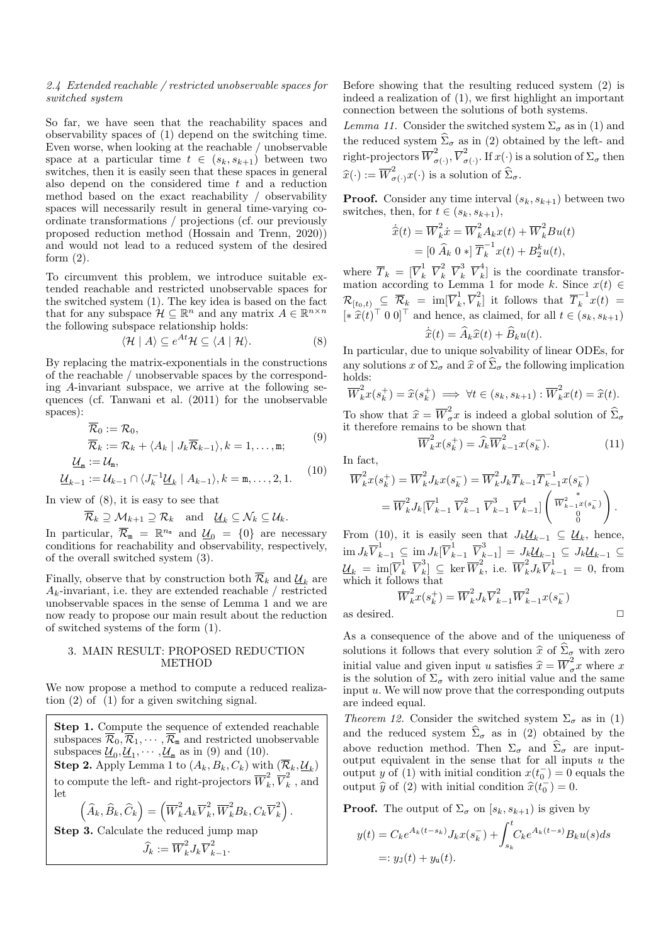#### 2.4 Extended reachable / restricted unobservable spaces for switched system

So far, we have seen that the reachability spaces and observability spaces of (1) depend on the switching time. Even worse, when looking at the reachable / unobservable space at a particular time  $t \in (s_k, s_{k+1})$  between two switches, then it is easily seen that these spaces in general also depend on the considered time  $t$  and a reduction method based on the exact reachability / observability spaces will necessarily result in general time-varying coordinate transformations / projections (cf. our previously proposed reduction method (Hossain and Trenn, 2020)) and would not lead to a reduced system of the desired form  $(2)$ .

To circumvent this problem, we introduce suitable extended reachable and restricted unobservable spaces for the switched system (1). The key idea is based on the fact that for any subspace  $\mathcal{H} \subseteq \mathbb{R}^n$  and any matrix  $A \in \mathbb{R}^{n \times n}$ the following subspace relationship holds:

$$
\langle \mathcal{H} | A \rangle \subseteq e^{At} \mathcal{H} \subseteq \langle A | \mathcal{H} \rangle.
$$
 (8)

By replacing the matrix-exponentials in the constructions of the reachable / unobservable spaces by the corresponding A-invariant subspace, we arrive at the following sequences (cf. Tanwani et al. (2011) for the unobservable spaces):

$$
\overline{\mathcal{R}}_0 := \mathcal{R}_0, \n\overline{\mathcal{R}}_k := \mathcal{R}_k + \langle A_k | J_k \overline{\mathcal{R}}_{k-1} \rangle, k = 1, \dots, m;
$$
\n(9)

$$
\underline{\mathcal{U}}_{m} := \mathcal{U}_{m},
$$
\n
$$
\underline{\mathcal{U}}_{k-1} := \mathcal{U}_{k-1} \cap \langle J_{k}^{-1} \underline{\mathcal{U}}_{k} \mid A_{k-1} \rangle, k = m, \dots, 2, 1.
$$
\n(10)

In view of (8), it is easy to see that

$$
\mathcal{R}_k \supseteq \mathcal{M}_{k+1} \supseteq \mathcal{R}_k
$$
 and  $\underline{\mathcal{U}}_k \subseteq \mathcal{N}_k \subseteq \mathcal{U}_k$ .

In particular,  $\overline{\mathcal{R}}_{m} = \mathbb{R}^{n_{m}}$  and  $\underline{\mathcal{U}}_{0} = \{0\}$  are necessary conditions for reachability and observability, respectively, of the overall switched system (3).

Finally, observe that by construction both  $\overline{\mathcal{R}}_k$  and  $\underline{\mathcal{U}}_k$  are  $A_k$ -invariant, i.e. they are extended reachable / restricted unobservable spaces in the sense of Lemma 1 and we are now ready to propose our main result about the reduction of switched systems of the form (1).

### 3. MAIN RESULT: PROPOSED REDUCTION METHOD

We now propose a method to compute a reduced realization (2) of (1) for a given switching signal.

Step 1. Compute the sequence of extended reachable subspaces  $\overline{\mathcal{R}}_0, \overline{\mathcal{R}}_1, \cdots, \overline{\mathcal{R}}_{\mathfrak{m}}$  and restricted unobservable subspaces  $\underline{\mathcal{U}}_0, \underline{\mathcal{U}}_1, \cdots, \underline{\mathcal{U}}_m$  as in (9) and (10). **Step 2.** Apply Lemma 1 to  $(A_k, B_k, C_k)$  with  $(\overline{\mathcal{R}}_k, \underline{\mathcal{U}}_k)$ to compute the left- and right-projectors  $\overline{W}_k^2$  $\overline{k}^2, \overline{V}_k^2$  $\frac{z}{k}$ , and let  $\left(\widehat{A}_k,\widehat{B}_k,\widehat{C}_k\right)=\left(\overline{W}_k^2A_k\overline{V}_k^2\right)$  $\overline{k}^2, \overline{W}_k^2 B_k, C_k \overline{V}_k^2$  $\binom{2}{k}$ . Step 3. Calculate the reduced jump map

$$
\widehat{J}_k := \overline{W}_k^2 J_k \overline{V}_{k-1}^2
$$

.

Before showing that the resulting reduced system (2) is indeed a realization of (1), we first highlight an important connection between the solutions of both systems.

Lemma 11. Consider the switched system  $\Sigma_{\sigma}$  as in (1) and the reduced system  $\widehat{\Sigma}_{\sigma}$  as in (2) obtained by the left- and right-projectors  $\overline{W}_{a}^{2}$  $_{\sigma(\cdot)}^2, \overline{V}_{\sigma}^2$  $\sigma(\cdot)$ . If  $x(\cdot)$  is a solution of  $\Sigma_{\sigma}$  then  $\widehat{x}(\cdot) := \overline{W}_{\sigma(\cdot)}^2 x(\cdot)$  is a solution of  $\widehat{\Sigma}_{\sigma}$ .

**Proof.** Consider any time interval  $(s_k, s_{k+1})$  between two switches, then, for  $t \in (s_k, s_{k+1}),$ 

$$
\dot{\widehat{x}}(t) = \overline{W}_k^2 \dot{x} = \overline{W}_k^2 A_k x(t) + \overline{W}_k^2 B u(t)
$$

$$
= [0 \widehat{A}_k \ 0 \ *] \ \overline{T}_k^{-1} x(t) + B_2^k u(t),
$$

where  $\overline{T}_k = [\overline{V}_k^1 \ \overline{V}_k^2 \ \overline{V}_k^3 \ \overline{V}_k^4$  $\begin{bmatrix} \overline{k} \end{bmatrix}$  is the coordinate transformation according to Lemma 1 for mode k. Since  $x(t) \in$  ${\cal R}_{[t_0,t)} \;\subseteq\; \overline{\cal R}_k \;=\; \operatorname{im} [\overline{V}_k^1$  $\frac{1}{k}, \overline{V}_k^2$  $\bar{x}_{k}^{2}$  it follows that  $\overline{T}_{k}^{-1}x(t)$  =  $[* \hat{x}(t)^\top 0 0]^\top$  and hence, as claimed, for all  $t \in (s_k, s_{k+1})$ 

$$
\widehat{x}(t) = A_k \widehat{x}(t) + B_k u(t).
$$

 $\dot{\hat{x}}(t) = \hat{A}_k \hat{x}(t) + \hat{B}_k u(t).$ <br>In particular, due to unique solvability of linear ODEs, for any solutions x of  $\Sigma_{\sigma}$  and  $\widehat{x}$  of  $\widehat{\Sigma}_{\sigma}$  the following implication holds:

$$
\overline{W}_k^2 x(s_k^+) = \widehat{x}(s_k^+) \implies \forall t \in (s_k, s_{k+1}) : \overline{W}_k^2 x(t) = \widehat{x}(t).
$$

To show that  $\hat{x} = \overline{W}_{\sigma}^2 x$  is indeed a global solution of  $\hat{\Sigma}_{\sigma}$  it therefore remains to be shown that it therefore remains to be shown that

$$
\overline{W}_k^2 x(s_k^+) = \widehat{J}_k \overline{W}_{k-1}^2 x(s_k^-). \tag{11}
$$

In fact,

$$
\overline{W}_k^2 x(s_k^+) = \overline{W}_k^2 J_k x(s_k^-) = \overline{W}_k^2 J_k \overline{T}_{k-1} \overline{T}_{k-1}^{-1} x(s_k^-) \n= \overline{W}_k^2 J_k [\overline{V}_{k-1}^1 \ \overline{V}_{k-1}^2 \ \overline{V}_{k-1}^3 \ \overline{V}_{k-1}^4] \begin{pmatrix} \overline{W}_{k-1}^2 x(s_k^-) \\ 0 \end{pmatrix}.
$$

From (10), it is easily seen that  $J_k \underline{\mathcal{U}}_{k-1} \subseteq \underline{\mathcal{U}}_k$ , hence,  $\lim J_k \overline{V}_{k-1}^1 \subseteq \lim J_k [\overline{V}_{k-1}^1 \ \overline{V}_{k}^3]$  $\left[ \begin{smallmatrix} \mathbb{Z}\ k-1 \end{smallmatrix} \right] = J_k \underline{\mathcal{U}}_{k-1} \subseteq J_k \underline{\mathcal{U}}_{k-1} \subseteq \mathcal{U}$  $\underline{\mathcal{U}}_k \;=\; \mathrm{im} [\overline{V}_k^1 \;\;\overline{V}_k^3$  $\left[\begin{smallmatrix} 3 \\ k \end{smallmatrix}\right] \subseteq \ker \overline{W}_k^2$ <sup>2</sup><sub>k</sub>, i.e.  $\overline{W}_k^2 J_k \overline{V}_{k-1}^1 = 0$ , from which it follows that<br> $\frac{1}{2}$  (+)  $\frac{1}{2}$   $\frac{1}{2}$   $\frac{1}{2}$   $\frac{1}{2}$   $\frac{1}{2}$   $\frac{1}{2}$   $\frac{1}{2}$   $\frac{1}{2}$   $\frac{1}{2}$   $\frac{1}{2}$   $\frac{1}{2}$   $\frac{1}{2}$   $\frac{1}{2}$   $\frac{1}{2}$   $\frac{1}{2}$   $\frac{1}{2}$   $\frac{1}{2}$   $\frac{1}{2}$   $\frac{1$ 

$$
\overline{W}_k^2 x(s_k^+) = \overline{W}_k^2 J_k \overline{V}_{k-1}^2 \overline{W}_{k-1}^2 x(s_k^-)
$$

as desired. ✷

As a consequence of the above and of the uniqueness of solutions it follows that every solution  $\hat{x}$  of  $\hat{\Sigma}_{\sigma}$  with zero initial value and given input u satisfies  $\hat{x} = \overline{W}_{\sigma}^2 x$  where x is the solution of  $\Sigma$ , with zero initial value and the same is the solution of  $\Sigma_{\sigma}$  with zero initial value and the same input  $u$ . We will now prove that the corresponding outputs are indeed equal.

Theorem 12. Consider the switched system  $\Sigma_{\sigma}$  as in (1) and the reduced system  $\hat{\Sigma}_{\sigma}$  as in (2) obtained by the above reduction method. Then  $\Sigma_{\sigma}$  and  $\widehat{\Sigma}_{\sigma}$  are inputoutput equivalent in the sense that for all inputs  $\overline{u}$  the output y of (1) with initial condition  $x(t_0^-) = 0$  equals the output  $\hat{y}$  of (2) with initial condition  $\hat{x}(\tilde{t}_0^-) = 0$ .

**Proof.** The output of  $\Sigma_{\sigma}$  on  $[s_k, s_{k+1})$  is given by

$$
y(t) = C_k e^{A_k(t-s_k)} J_k x(s_k^-) + \int_{s_k}^t C_k e^{A_k(t-s)} B_k u(s) ds
$$
  
=:  $y_1(t) + y_1(t)$ .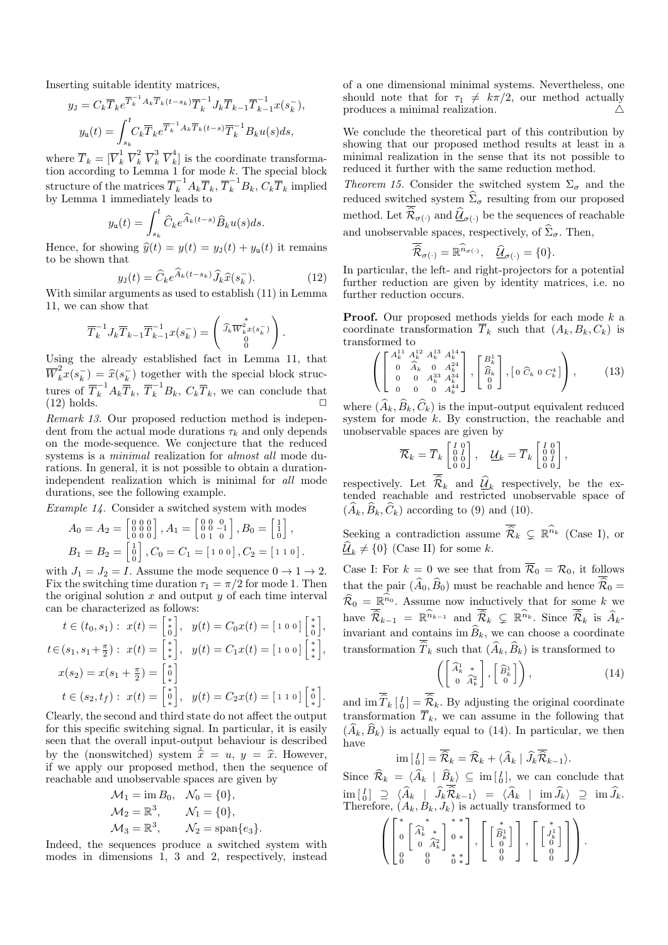Inserting suitable identity matrices,

$$
y_{\mathrm{J}} = C_k \overline{T}_k e^{\overline{T}_k^{-1} A_k \overline{T}_k (t-s_k)} \overline{T}_k^{-1} J_k \overline{T}_{k-1} \overline{T}_{k-1}^{-1} x(s_k^-),
$$
  

$$
y_{\mathrm{u}}(t) = \int_{s_k}^t C_k \overline{T}_k e^{\overline{T}_k^{-1} A_k \overline{T}_k (t-s)} \overline{T}_k^{-1} B_k u(s) ds,
$$

where  $\overline{T}_k = [\overline{V}_k^1 \ \overline{V}_k^2 \ \overline{V}_k^3 \ \overline{V}_k^4$  $\begin{bmatrix} \vec{k} \end{bmatrix}$  is the coordinate transformation according to Lemma 1 for mode k. The special block structure of the matrices  $\overline{T}_k^{-1} A_k \overline{T}_k, \overline{T}_k^{-1} B_k, C_k \overline{T}_k$  implied by Lemma 1 immediately leads to

$$
y_{\mathbf{u}}(t) = \int_{s_k}^{t} \widehat{C}_k e^{\widehat{A}_k(t-s)} \widehat{B}_k u(s) ds.
$$

Hence, for showing  $\hat{y}(t) = y(t) = y_{\text{J}}(t) + y_{\text{u}}(t)$  it remains to be shown that

$$
y_{\text{J}}(t) = \widehat{C}_k e^{\widehat{A}_k(t - s_k)} \widehat{J}_k \widehat{x}(s_k^-). \tag{12}
$$
  
With similar arguments as used to establish (11) in Lemma

11, we can show that

$$
\overline{T}_{k}^{-1} J_{k} \overline{T}_{k-1} \overline{T}_{k-1}^{-1} x(s_{k}^{-}) = \begin{pmatrix} \widehat{J}_{k} \overline{W}_{k}^{*} x(s_{k}^{-}) \\ 0 \\ 0 \end{pmatrix}.
$$

Using the already established fact in Lemma 11, that  $\overline{W}_k^2 x(s_k^-) = \hat{x}(s_k^-)$  together with the special block struc- $\widehat{k}_{k}^{(k)} = \widehat{x}(s_{k}^{-})$ tures of  $\overline{T}_k^{-1} A_k \overline{T}_k$ ,  $\overline{T}_k^{-1} B_k$ ,  $C_k \overline{T}_k$ , we can conclude that  $(12)$  holds.  $\Box$ 

Remark 13. Our proposed reduction method is independent from the actual mode durations  $\tau_k$  and only depends on the mode-sequence. We conjecture that the reduced systems is a minimal realization for almost all mode durations. In general, it is not possible to obtain a durationindependent realization which is minimal for all mode durations, see the following example.

Example 14. Consider a switched system with modes

$$
A_0 = A_2 = \begin{bmatrix} 0 & 0 & 0 \\ 0 & 0 & 0 \\ 0 & 0 & 0 \end{bmatrix}, A_1 = \begin{bmatrix} 0 & 0 & 0 \\ 0 & 0 & -1 \\ 0 & 1 & 0 \end{bmatrix}, B_0 = \begin{bmatrix} 1 \\ 1 \\ 0 \end{bmatrix},
$$
  
\n
$$
B_1 = B_2 = \begin{bmatrix} 1 \\ 0 \\ 0 \end{bmatrix}, C_0 = C_1 = \begin{bmatrix} 1 & 0 & 0 \end{bmatrix}, C_2 = \begin{bmatrix} 1 & 1 & 0 \end{bmatrix}.
$$

with  $J_1 = J_2 = I$ . Assume the mode sequence  $0 \to 1 \to 2$ . Fix the switching time duration  $\tau_1 = \pi/2$  for mode 1. Then the original solution  $x$  and output  $y$  of each time interval can be characterized as follows:

$$
t \in (t_0, s_1) : x(t) = \begin{bmatrix} * \\ 0 \end{bmatrix}, \quad y(t) = C_0 x(t) = \begin{bmatrix} 1 & 0 & 0 \end{bmatrix} \begin{bmatrix} * \\ 0 \end{bmatrix},
$$

$$
t \in (s_1, s_1 + \frac{\pi}{2}) : x(t) = \begin{bmatrix} * \\ * \end{bmatrix}, \quad y(t) = C_1 x(t) = \begin{bmatrix} 1 & 0 & 0 \end{bmatrix} \begin{bmatrix} * \\ * \end{bmatrix},
$$

$$
x(s_2) = x(s_1 + \frac{\pi}{2}) = \begin{bmatrix} * \\ 0 \end{bmatrix}
$$

$$
t \in (s_2, t_f) : x(t) = \begin{bmatrix} * \\ * \end{bmatrix}, \quad y(t) = C_2 x(t) = \begin{bmatrix} 1 & 1 & 0 \end{bmatrix} \begin{bmatrix} * \\ 0 \end{bmatrix}.
$$

Clearly, the second and third state do not affect the output for this specific switching signal. In particular, it is easily seen that the overall input-output behaviour is described by the (nonswitched) system  $\dot{\hat{x}} = u, y = \hat{x}$ . However, if we apply our proposed method, then the sequence of reachable and unobservable spaces are given by

$$
\mathcal{M}_1 = \text{im } B_0, \quad \mathcal{N}_0 = \{0\},
$$
  
\n
$$
\mathcal{M}_2 = \mathbb{R}^3, \qquad \mathcal{N}_1 = \{0\},
$$
  
\n
$$
\mathcal{M}_3 = \mathbb{R}^3, \qquad \mathcal{N}_2 = \text{span}\{e_3\}.
$$

Indeed, the sequences produce a switched system with modes in dimensions 1, 3 and 2, respectively, instead of a one dimensional minimal systems. Nevertheless, one should note that for  $\tau_1 \neq k\pi/2$ , our method actually produces a minimal realization.  $\triangle$ 

We conclude the theoretical part of this contribution by showing that our proposed method results at least in a minimal realization in the sense that its not possible to reduced it further with the same reduction method.

Theorem 15. Consider the switched system  $\Sigma_{\sigma}$  and the reduced switched system  $\hat{\Sigma}_{\sigma}$  resulting from our proposed method. Let  $\mathcal{R}_{\sigma(\cdot)}$  and  $\underline{\mathcal{U}}_{\sigma(\cdot)}$  be the sequences of reachable and unobservable spaces, respectively, of  $\widehat{\Sigma}_{\sigma}$ . Then,

$$
\overline{\widehat{\mathcal{R}}}_{\sigma(\cdot)} = \mathbb{R}^{\widehat{n}_{\sigma(\cdot)}}, \quad \widehat{\underline{\mathcal{U}}}_{\sigma(\cdot)} = \{0\}.
$$

In particular, the left- and right-projectors for a potential further reduction are given by identity matrices, i.e. no further reduction occurs.

**Proof.** Our proposed methods yields for each mode  $k$  a coordinate transformation  $\overline{T}_k$  such that  $(A_k, B_k, C_k)$  is transformed to

$$
\left( \begin{bmatrix} A_k^{11} & A_k^{12} & A_k^{13} & A_k^{14} \\ 0 & \widehat{A}_k & 0 & A_k^{24} \\ 0 & 0 & A_k^{33} & A_k^{34} \\ 0 & 0 & 0 & A_k^{44} \end{bmatrix}, \begin{bmatrix} B_k^1 \\ \widehat{B}_k \\ 0 \end{bmatrix}, \begin{bmatrix} 0 & \widehat{C}_k & 0 & C_k^4 \end{bmatrix} \right), \tag{13}
$$

where  $(\widehat{A}_k, \widehat{B}_k, \widehat{C}_k)$  is the input-output equivalent reduced system for mode  $k$ . By construction, the reachable and unobservable spaces are given by

$$
\overline{\mathcal{R}}_k = \overline{T}_k \begin{bmatrix} I & 0 \\ 0 & I \\ 0 & 0 \\ 0 & 0 \end{bmatrix}, \quad \underline{\mathcal{U}}_k = \overline{T}_k \begin{bmatrix} I & 0 \\ 0 & I \\ 0 & I \\ 0 & 0 \end{bmatrix},
$$

respectively. Let  $\mathcal{R}_k$  and  $\underline{\mathcal{U}}_k$  respectively, be the extended reachable and restricted unobservable space of  $(A_k, B_k, C_k)$  according to (9) and (10).

Seeking a contradiction assume  $\overline{\hat{\mathcal{R}}}_k \subsetneq \mathbb{R}^{\hat{n}_k}$  (Case I), or  $\underline{\mathcal{U}}_k \neq \{0\}$  (Case II) for some k.

Case I: For  $k = 0$  we see that from  $\overline{\mathcal{R}}_0 = \mathcal{R}_0$ , it follows that the pair  $(\widehat{A}_0, \widehat{B}_0)$  must be reachable and hence  $\widehat{\mathcal{R}}_0 =$  $\widehat{\mathcal{R}}_0 = \mathbb{R}^n$ . Assume now inductively that for some k we have  $\widehat{\mathcal{R}}_{k-1} = \mathbb{R}^{\widehat{n}_{k-1}}$  and  $\widehat{\mathcal{R}}_k \subsetneq \mathbb{R}^{\widehat{n}_k}$ . Since  $\widehat{\mathcal{R}}_k$  is  $\widehat{A}_k$ invariant and contains im  $\widehat{B}_k$ , we can choose a coordinate transformation  $\widehat{T}_k$  such that  $(\widehat{A}_k, \widehat{B}_k)$  is transformed to

$$
\left( \begin{bmatrix} \widehat{A}^1_k & * \\ 0 & \widehat{A}^2_k \end{bmatrix}, \begin{bmatrix} \widehat{B}^1_k \\ 0 \end{bmatrix} \right), \tag{14}
$$

and  $\operatorname{im} \widehat{T}_k \begin{bmatrix} I \\ 0 \end{bmatrix} = \widehat{R}_k$ . By adjusting the original coordinate transformation  $\overline{T}_k$ , we can assume in the following that  $(\widehat{A}_k, \widehat{B}_k)$  is actually equal to (14). In particular, we then have

$$
\operatorname{im} \left[ \begin{smallmatrix} I \\ 0 \end{smallmatrix} \right] = \widehat{\mathcal{R}}_k = \widehat{\mathcal{R}}_k + \langle \widehat{A}_k | \widehat{J}_k \widehat{\mathcal{R}}_{k-1} \rangle.
$$

Since  $\widehat{\mathcal{R}}_k = \langle \widehat{A}_k | \widehat{B}_k \rangle \subseteq \text{im} \left[ \begin{smallmatrix} I \\ 0 \end{smallmatrix} \right],$  we can conclude that  $\text{im } \begin{bmatrix} I \end{bmatrix} \supseteq \langle A_k | J_k \mathcal{R}_{k-1} \rangle = \langle A_k | \text{im } J_k \rangle \supseteq \text{im } J_k.$ <br>Therefore,  $(A_k, B_k, J_k)$  is actually transformed to

$$
\left( \begin{bmatrix} * & * & * & * \\ 0 & \begin{bmatrix} \widehat{A}_k^1 & * \\ 0 & \widehat{A}_k^2 \end{bmatrix} & 0 & * \\ 0 & 0 & * & * \\ 0 & 0 & 0 & * \end{bmatrix} , \begin{bmatrix} * & * & * \\ 0 & 0 & * \\ 0 & 0 & * \end{bmatrix} \right), \begin{bmatrix} * & * & * \\ 0 & 0 & * \\ 0 & 0 & * \end{bmatrix} \right).
$$